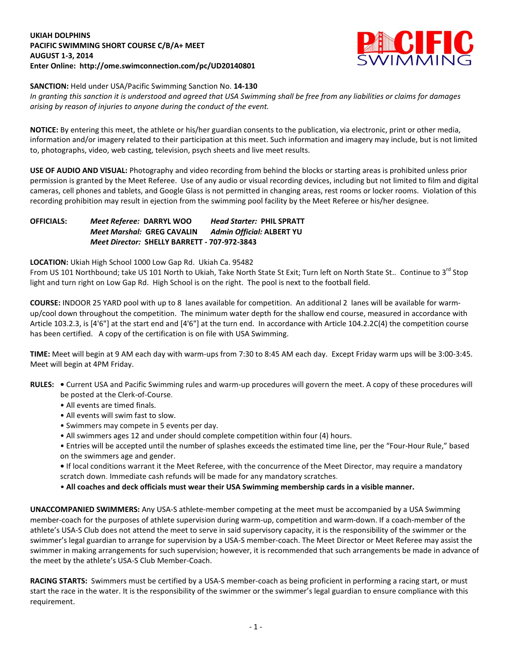## **UKIAH DOLPHINS PACIFIC SWIMMING SHORT COURSE C/B/A+ MEET AUGUST 1-3, 2014 Enter Online: http://ome.swimconnection.com/pc/UD20140801**



## **SANCTION:** Held under USA/Pacific Swimming Sanction No. **14-130**

*In granting this sanction it is understood and agreed that USA Swimming shall be free from any liabilities or claims for damages arising by reason of injuries to anyone during the conduct of the event.*

**NOTICE:** By entering this meet, the athlete or his/her guardian consents to the publication, via electronic, print or other media, information and/or imagery related to their participation at this meet. Such information and imagery may include, but is not limited to, photographs, video, web casting, television, psych sheets and live meet results.

**USE OF AUDIO AND VISUAL:** Photography and video recording from behind the blocks or starting areas is prohibited unless prior permission is granted by the Meet Referee. Use of any audio or visual recording devices, including but not limited to film and digital cameras, cell phones and tablets, and Google Glass is not permitted in changing areas, rest rooms or locker rooms. Violation of this recording prohibition may result in ejection from the swimming pool facility by the Meet Referee or his/her designee.

### **OFFICIALS:** *Meet Referee:* **DARRYL WOO** *Head Starter:* **PHIL SPRATT** *Meet Marshal:* **GREG CAVALIN** *Admin Official:* **ALBERT YU** *Meet Director:* **SHELLY BARRETT - 707-972-3843**

**LOCATION:** Ukiah High School 1000 Low Gap Rd. Ukiah Ca. 95482

From US 101 Northbound; take US 101 North to Ukiah, Take North State St Exit; Turn left on North State St.. Continue to 3<sup>rd</sup> Stop light and turn right on Low Gap Rd. High School is on the right. The pool is next to the football field.

**COURSE:** INDOOR 25 YARD pool with up to 8 lanes available for competition. An additional 2 lanes will be available for warmup/cool down throughout the competition. The minimum water depth for the shallow end course, measured in accordance with Article 103.2.3, is [4'6"] at the start end and [4'6"] at the turn end. In accordance with Article 104.2.2C(4) the competition course has been certified. A copy of the certification is on file with USA Swimming.

**TIME:** Meet will begin at 9 AM each day with warm-ups from 7:30 to 8:45 AM each day. Except Friday warm ups will be 3:00-3:45. Meet will begin at 4PM Friday.

- **RULES:** Current USA and Pacific Swimming rules and warm-up procedures will govern the meet. A copy of these procedures will be posted at the Clerk-of-Course.
	- All events are timed finals.
	- All events will swim fast to slow.
	- Swimmers may compete in 5 events per day.
	- All swimmers ages 12 and under should complete competition within four (4) hours.
	- Entries will be accepted until the number of splashes exceeds the estimated time line, per the "Four-Hour Rule," based on the swimmers age and gender.
	- If local conditions warrant it the Meet Referee, with the concurrence of the Meet Director, may require a mandatory scratch down. Immediate cash refunds will be made for any mandatory scratches.
	- **All coaches and deck officials must wear their USA Swimming membership cards in a visible manner.**

**UNACCOMPANIED SWIMMERS:** Any USA-S athlete-member competing at the meet must be accompanied by a USA Swimming member-coach for the purposes of athlete supervision during warm-up, competition and warm-down. If a coach-member of the athlete's USA-S Club does not attend the meet to serve in said supervisory capacity, it is the responsibility of the swimmer or the swimmer's legal guardian to arrange for supervision by a USA-S member-coach. The Meet Director or Meet Referee may assist the swimmer in making arrangements for such supervision; however, it is recommended that such arrangements be made in advance of the meet by the athlete's USA-S Club Member-Coach.

**RACING STARTS:** Swimmers must be certified by a USA-S member-coach as being proficient in performing a racing start, or must start the race in the water. It is the responsibility of the swimmer or the swimmer's legal guardian to ensure compliance with this requirement.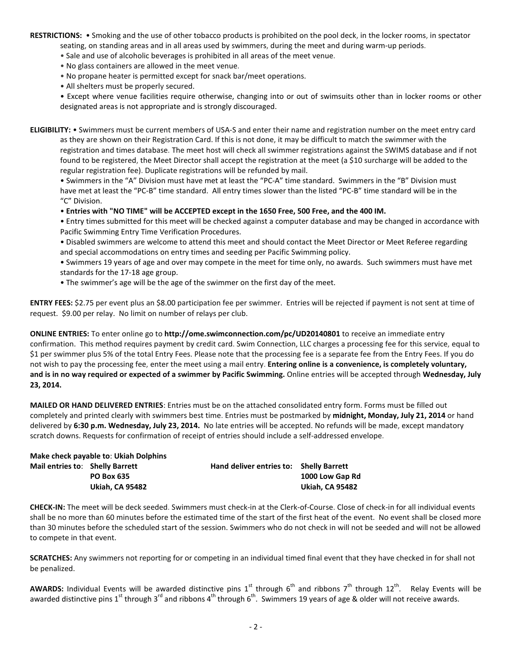**RESTRICTIONS:** • Smoking and the use of other tobacco products is prohibited on the pool deck, in the locker rooms, in spectator seating, on standing areas and in all areas used by swimmers, during the meet and during warm-up periods.

- Sale and use of alcoholic beverages is prohibited in all areas of the meet venue.
- No glass containers are allowed in the meet venue.
- No propane heater is permitted except for snack bar/meet operations.
- All shelters must be properly secured.

• Except where venue facilities require otherwise, changing into or out of swimsuits other than in locker rooms or other designated areas is not appropriate and is strongly discouraged.

**ELIGIBILITY:** • Swimmers must be current members of USA-S and enter their name and registration number on the meet entry card as they are shown on their Registration Card. If this is not done, it may be difficult to match the swimmer with the registration and times database. The meet host will check all swimmer registrations against the SWIMS database and if not found to be registered, the Meet Director shall accept the registration at the meet (a \$10 surcharge will be added to the regular registration fee). Duplicate registrations will be refunded by mail.

• Swimmers in the "A" Division must have met at least the "PC-A" time standard. Swimmers in the "B" Division must have met at least the "PC-B" time standard. All entry times slower than the listed "PC-B" time standard will be in the "C" Division.

• **Entries with "NO TIME" will be ACCEPTED except in the 1650 Free, 500 Free, and the 400 IM.**

• Entry times submitted for this meet will be checked against a computer database and may be changed in accordance with Pacific Swimming Entry Time Verification Procedures.

• Disabled swimmers are welcome to attend this meet and should contact the Meet Director or Meet Referee regarding and special accommodations on entry times and seeding per Pacific Swimming policy.

• Swimmers 19 years of age and over may compete in the meet for time only, no awards. Such swimmers must have met standards for the 17-18 age group.

• The swimmer's age will be the age of the swimmer on the first day of the meet.

**ENTRY FEES:** \$2.75 per event plus an \$8.00 participation fee per swimmer. Entries will be rejected if payment is not sent at time of request. \$9.00 per relay. No limit on number of relays per club.

**ONLINE ENTRIES:** To enter online go to **http://ome.swimconnection.com/pc/UD20140801** to receive an immediate entry confirmation. This method requires payment by credit card. Swim Connection, LLC charges a processing fee for this service, equal to \$1 per swimmer plus 5% of the total Entry Fees. Please note that the processing fee is a separate fee from the Entry Fees. If you do not wish to pay the processing fee, enter the meet using a mail entry. **Entering online is a convenience, is completely voluntary, and is in no way required or expected of a swimmer by Pacific Swimming.** Online entries will be accepted through **Wednesday, July 23, 2014.**

**MAILED OR HAND DELIVERED ENTRIES**: Entries must be on the attached consolidated entry form. Forms must be filled out completely and printed clearly with swimmers best time. Entries must be postmarked by **midnight, Monday, July 21, 2014** or hand delivered by **6:30 p.m. Wednesday, July 23, 2014.** No late entries will be accepted. No refunds will be made, except mandatory scratch downs. Requests for confirmation of receipt of entries should include a self-addressed envelope.

|                                 | Make check payable to: Ukiah Dolphins |                                         |                        |
|---------------------------------|---------------------------------------|-----------------------------------------|------------------------|
| Mail entries to: Shelly Barrett |                                       | Hand deliver entries to: Shelly Barrett |                        |
|                                 | <b>PO Box 635</b>                     |                                         | 1000 Low Gap Rd        |
|                                 | <b>Ukiah. CA 95482</b>                |                                         | <b>Ukiah, CA 95482</b> |

**CHECK-IN:** The meet will be deck seeded. Swimmers must check-in at the Clerk-of-Course. Close of check-in for all individual events shall be no more than 60 minutes before the estimated time of the start of the first heat of the event. No event shall be closed more than 30 minutes before the scheduled start of the session. Swimmers who do not check in will not be seeded and will not be allowed to compete in that event.

**SCRATCHES:** Any swimmers not reporting for or competing in an individual timed final event that they have checked in for shall not be penalized.

**AWARDS:** Individual Events will be awarded distinctive pins 1<sup>st</sup> through 6<sup>th</sup> and ribbons 7<sup>th</sup> through 12<sup>th</sup>. Relay Events will be awarded distinctive pins  $1^{st}$  through  $3^{rd}$  and ribbons  $4^{th}$  through  $6^{th}$ . Swimmers 19 years of age & older will not receive awards.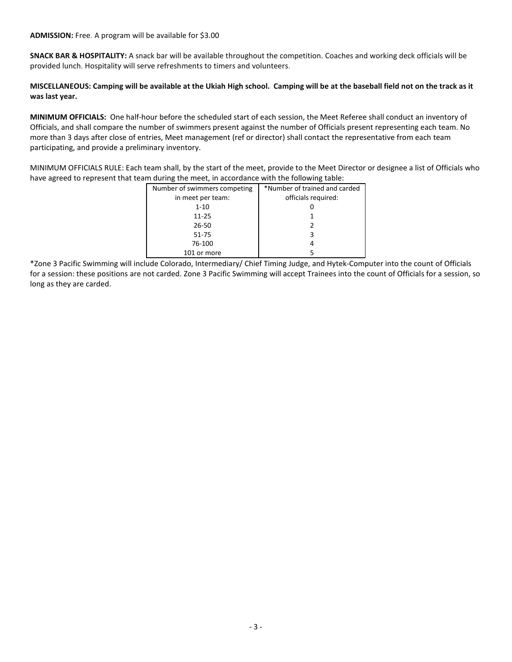**SNACK BAR & HOSPITALITY:** A snack bar will be available throughout the competition. Coaches and working deck officials will be provided lunch. Hospitality will serve refreshments to timers and volunteers.

# **MISCELLANEOUS: Camping will be available at the Ukiah High school. Camping will be at the baseball field not on the track as it was last year.**

**MINIMUM OFFICIALS:** One half-hour before the scheduled start of each session, the Meet Referee shall conduct an inventory of Officials, and shall compare the number of swimmers present against the number of Officials present representing each team. No more than 3 days after close of entries, Meet management (ref or director) shall contact the representative from each team participating, and provide a preliminary inventory.

MINIMUM OFFICIALS RULE: Each team shall, by the start of the meet, provide to the Meet Director or designee a list of Officials who have agreed to represent that team during the meet, in accordance with the following table:

| Number of swimmers competing | *Number of trained and carded |
|------------------------------|-------------------------------|
| in meet per team:            | officials required:           |
| $1 - 10$                     |                               |
| $11 - 25$                    |                               |
| 26-50                        |                               |
| 51-75                        |                               |
| 76-100                       |                               |
| 101 or more                  |                               |

\*Zone 3 Pacific Swimming will include Colorado, Intermediary/ Chief Timing Judge, and Hytek-Computer into the count of Officials for a session: these positions are not carded. Zone 3 Pacific Swimming will accept Trainees into the count of Officials for a session, so long as they are carded.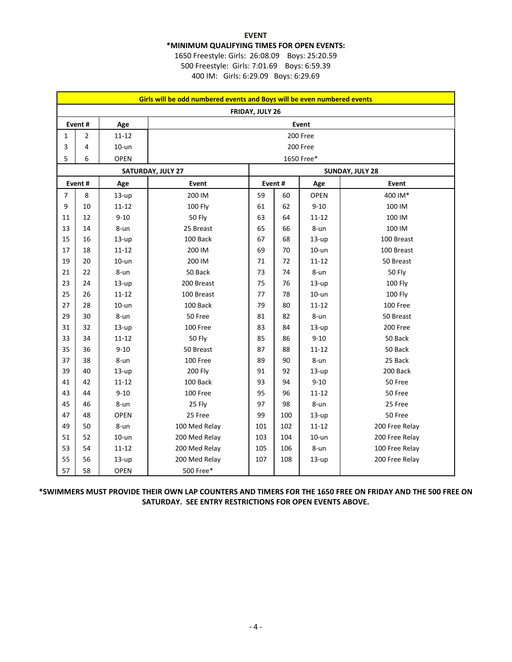### **EVENT \*MINIMUM QUALIFYING TIMES FOR OPEN EVENTS:** 1650 Freestyle: Girls: 26:08.09 Boys: 25:20.59

500 Freestyle: Girls: 7:01.69 Boys: 6:59.39 400 IM: Girls: 6:29.09 Boys: 6:29.69

| Girls will be odd numbered events and Boys will be even numbered events |                |             |                   |                 |     |            |                |  |  |  |  |
|-------------------------------------------------------------------------|----------------|-------------|-------------------|-----------------|-----|------------|----------------|--|--|--|--|
| FRIDAY, JULY 26                                                         |                |             |                   |                 |     |            |                |  |  |  |  |
| Event#<br>Age<br>Event                                                  |                |             |                   |                 |     |            |                |  |  |  |  |
| 1                                                                       | $\overline{2}$ | $11 - 12$   | 200 Free          |                 |     |            |                |  |  |  |  |
| 3                                                                       | 4              | $10-$ un    | 200 Free          |                 |     |            |                |  |  |  |  |
| 5                                                                       | 6              | OPEN        |                   |                 |     | 1650 Free* |                |  |  |  |  |
|                                                                         |                |             | SATURDAY, JULY 27 | SUNDAY, JULY 28 |     |            |                |  |  |  |  |
| Event#<br>Age                                                           |                |             | Event             | Event#          |     | Age        | Event          |  |  |  |  |
| $\overline{7}$                                                          | 8              | $13-up$     | 200 IM            | 59              | 60  | OPEN       | 400 IM*        |  |  |  |  |
| 9                                                                       | 10             | $11 - 12$   | <b>100 Fly</b>    | 61              | 62  | $9 - 10$   | 100 IM         |  |  |  |  |
| 11                                                                      | 12             | $9 - 10$    | <b>50 Fly</b>     | 63              | 64  | $11 - 12$  | 100 IM         |  |  |  |  |
| 13                                                                      | 14             | 8-un        | 25 Breast         | 65              | 66  | 8-un       | 100 IM         |  |  |  |  |
| 15                                                                      | 16             | $13-up$     | 100 Back          | 67              | 68  | $13-up$    | 100 Breast     |  |  |  |  |
| 17                                                                      | 18             | $11 - 12$   | 200 IM            | 69              | 70  | $10-$ un   | 100 Breast     |  |  |  |  |
| 19                                                                      | 20             | $10-$ un    | 200 IM            | 71              | 72  | $11 - 12$  | 50 Breast      |  |  |  |  |
| 21                                                                      | 22             | $8 - un$    | 50 Back           | 73              | 74  | 8-un       | <b>50 Fly</b>  |  |  |  |  |
| 23                                                                      | 24             | $13-up$     | 200 Breast        | 75              | 76  | $13-up$    | 100 Fly        |  |  |  |  |
| 25                                                                      | 26             | $11 - 12$   | 100 Breast        | 77              | 78  | $10-$ un   | 100 Fly        |  |  |  |  |
| 27                                                                      | 28             | $10-$ un    | 100 Back          | 79              | 80  | $11 - 12$  | 100 Free       |  |  |  |  |
| 29                                                                      | 30             | 8-un        | 50 Free           | 81              | 82  | 8-un       | 50 Breast      |  |  |  |  |
| 31                                                                      | 32             | $13-up$     | 100 Free          | 83              | 84  | $13-up$    | 200 Free       |  |  |  |  |
| 33                                                                      | 34             | $11 - 12$   | <b>50 Fly</b>     | 85              | 86  | $9 - 10$   | 50 Back        |  |  |  |  |
| 35                                                                      | 36             | $9 - 10$    | 50 Breast         | 87              | 88  | $11 - 12$  | 50 Back        |  |  |  |  |
| 37                                                                      | 38             | 8-un        | 100 Free          | 89              | 90  | 8-un       | 25 Back        |  |  |  |  |
| 39                                                                      | 40             | $13-up$     | <b>200 Fly</b>    | 91              | 92  | $13-up$    | 200 Back       |  |  |  |  |
| 41                                                                      | 42             | $11 - 12$   | 100 Back          | 93              | 94  | $9 - 10$   | 50 Free        |  |  |  |  |
| 43                                                                      | 44             | $9 - 10$    | 100 Free          | 95              | 96  | $11 - 12$  | 50 Free        |  |  |  |  |
| 45                                                                      | 46             | 8-un        | 25 Fly            | 97              | 98  | 8-un       | 25 Free        |  |  |  |  |
| 47                                                                      | 48             | <b>OPEN</b> | 25 Free           | 99              | 100 | $13-up$    | 50 Free        |  |  |  |  |
| 49                                                                      | 50             | 8-un        | 100 Med Relay     | 101             | 102 | $11 - 12$  | 200 Free Relay |  |  |  |  |
| 51                                                                      | 52             | $10-$ un    | 200 Med Relay     | 103             | 104 | $10-$ un   | 200 Free Relay |  |  |  |  |
| 53                                                                      | 54             | $11 - 12$   | 200 Med Relay     | 105             | 106 | 8-un       | 100 Free Relay |  |  |  |  |
| 55                                                                      | 56             | $13-up$     | 200 Med Relay     | 107             | 108 | $13-up$    | 200 Free Relay |  |  |  |  |
| 57                                                                      | 58             | <b>OPEN</b> | 500 Free*         |                 |     |            |                |  |  |  |  |

**\*SWIMMERS MUST PROVIDE THEIR OWN LAP COUNTERS AND TIMERS FOR THE 1650 FREE ON FRIDAY AND THE 500 FREE ON SATURDAY. SEE ENTRY RESTRICTIONS FOR OPEN EVENTS ABOVE.**